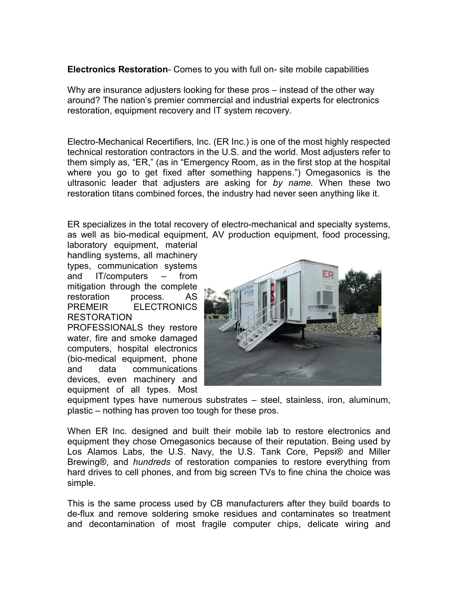**Electronics Restoration**- Comes to you with full on- site mobile capabilities

Why are insurance adjusters looking for these pros – instead of the other way around? The nation's premier commercial and industrial experts for electronics restoration, equipment recovery and IT system recovery.

Electro-Mechanical Recertifiers, Inc. (ER Inc.) is one of the most highly respected technical restoration contractors in the U.S. and the world. Most adjusters refer to them simply as, "ER," (as in "Emergency Room, as in the first stop at the hospital where you go to get fixed after something happens.") Omegasonics is the ultrasonic leader that adjusters are asking for *by name.* When these two restoration titans combined forces, the industry had never seen anything like it.

ER specializes in the total recovery of electro-mechanical and specialty systems, as well as bio-medical equipment, AV production equipment, food processing,

laboratory equipment, material handling systems, all machinery types, communication systems and IT/computers – from mitigation through the complete restoration process. AS PREMEIR ELECTRONICS RESTORATION PROFESSIONALS they restore

water, fire and smoke damaged computers, hospital electronics (bio-medical equipment, phone and data communications devices, even machinery and equipment of all types. Most



equipment types have numerous substrates – steel, stainless, iron, aluminum, plastic – nothing has proven too tough for these pros.

When ER Inc. designed and built their mobile lab to restore electronics and equipment they chose Omegasonics because of their reputation. Being used by Los Alamos Labs, the U.S. Navy, the U.S. Tank Core, Pepsi® and Miller Brewing®, and *hundreds* of restoration companies to restore everything from hard drives to cell phones, and from big screen TVs to fine china the choice was simple.

This is the same process used by CB manufacturers after they build boards to de-flux and remove soldering smoke residues and contaminates so treatment and decontamination of most fragile computer chips, delicate wiring and